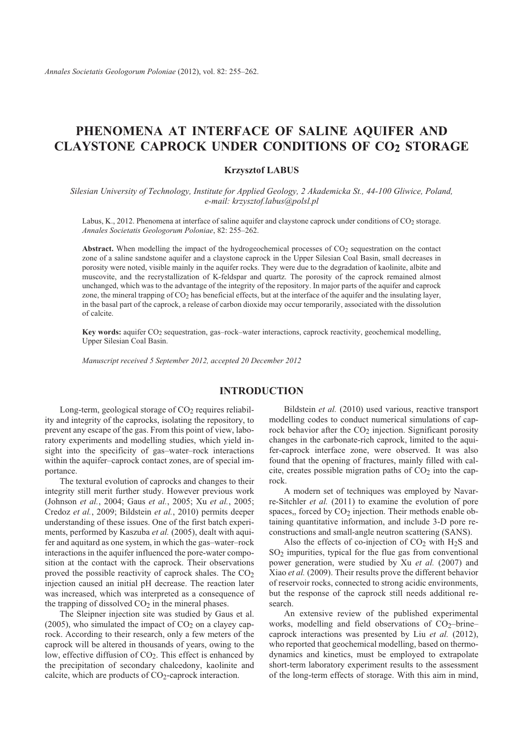*Annales Societatis Geologorum Poloniae* (2012), vol. 82: 255–262.

# **PHENOMENA AT INTERFACE OF SALINE AQUIFER AND CLAYSTONE CAPROCK UNDER CONDITIONS OF CO2 STORAGE**

### **Krzysztof LABUS**

*Silesian Uni versity of Tech nol ogy, In stitute for Ap plied Ge ol ogy, 2 Akademicka St., 44-100 Gliwice, Po land, e-mail: krzysztof.labus@polsl.pl*

Labus, K., 2012. Phenomena at interface of saline aquifer and claystone caprock under conditions of  $CO<sub>2</sub>$  storage. *Annales Societatis Geologorum Poloniae*, 82: 255–262.

**Abstract.** When modelling the impact of the hydrogeochemical processes of  $CO<sub>2</sub>$  sequestration on the contact zone of a saline sandstone aquifer and a claystone caprock in the Upper Silesian Coal Basin, small decreases in porosity were noted, visible mainly in the aquifer rocks. They were due to the degradation of kaolinite, albite and mus covite, and the recrystallization of K-feldspar and quartz. The porosity of the caprock remained almost unchanged, which was to the advantage of the integrity of the repository. In major parts of the aquifer and caprock zone, the mineral trapping of  $CO<sub>2</sub>$  has beneficial effects, but at the interface of the aquifer and the insulating layer, in the basal part of the caprock, a release of carbon dioxide may occur temporarily, associated with the dissolution of calcite.

Key words: aquifer CO<sub>2</sub> sequestration, gas–rock–water interactions, caprock reactivity, geochemical modelling, Upper Silesian Coal Basin.

*Manu script re ceived 5 September 2012, accepted 20 December 2012*

### **INTRODUCTION**

Long-term, geological storage of  $CO<sub>2</sub>$  requires reliability and integrity of the caprocks, isolating the repository, to prevent any escape of the gas. From this point of view, laboratory experiments and modelling studies, which yield insight into the specificity of gas–water–rock interactions within the aquifer–caprock contact zones, are of special importance.

The textural evolution of caprocks and changes to their integrity still merit further study. However previous work (John son *et al.*, 2004; Gaus *et al.*, 2005; Xu *et al.*, 2005; Credoz et al., 2009; Bildstein et al., 2010) permits deeper understanding of these issues. One of the first batch experiments, performed by Kaszuba et al. (2005), dealt with aquifer and aquitard as one system, in which the gas-water-rock interactions in the aquifer influenced the pore-water composition at the contact with the caprock. Their observations proved the possible reactivity of caprock shales. The  $CO<sub>2</sub>$ injection caused an initial pH decrease. The reaction later was increased, which was interpreted as a consequence of the trapping of dissolved  $CO<sub>2</sub>$  in the mineral phases.

The Sleipner injection site was studied by Gaus et al. (2005), who simulated the impact of  $CO<sub>2</sub>$  on a clayey caprock. According to their research, only a few meters of the caprock will be altered in thousands of years, owing to the low, effective diffusion of  $CO<sub>2</sub>$ . This effect is enhanced by the precipitation of secondary chalcedony, kaolinite and cal cite, which are products of  $CO<sub>2</sub>$ -caprock interaction.

Bildstein *et al.* (2010) used various, reactive transport modelling codes to conduct numerical simulations of caprock behavior after the  $CO<sub>2</sub>$  injection. Significant porosity changes in the carbonate-rich caprock, limited to the aquifer-caprock interface zone, were observed. It was also found that the opening of fractures, mainly filled with calcite, creates possible migration paths of  $CO<sub>2</sub>$  into the caprock.

A modern set of techniques was employed by Navarre-Sitchler et al. (2011) to examine the evolution of pore spaces,, forced by  $CO<sub>2</sub>$  injection. Their methods enable obtaining quantitative information, and include 3-D pore reconstructions and small-angle neutron scattering (SANS).

Also the effects of co-injection of  $CO<sub>2</sub>$  with H<sub>2</sub>S and  $SO<sub>2</sub>$  impurities, typical for the flue gas from conventional power generation, were studied by Xu *et al.* (2007) and Xiao *et al.* (2009). Their results prove the different behavior of reservoir rocks, connected to strong acidic environments, but the response of the caprock still needs additional research.

An extensive review of the published experimental works, modelling and field observations of  $CO<sub>2</sub>$ –brine– caprock interactions was presented by Liu et al. (2012), who reported that geochemical modelling, based on thermodynamics and kinetics, must be employed to extrapolate short-term laboratory experiment results to the assessment of the long-term effects of storage. With this aim in mind,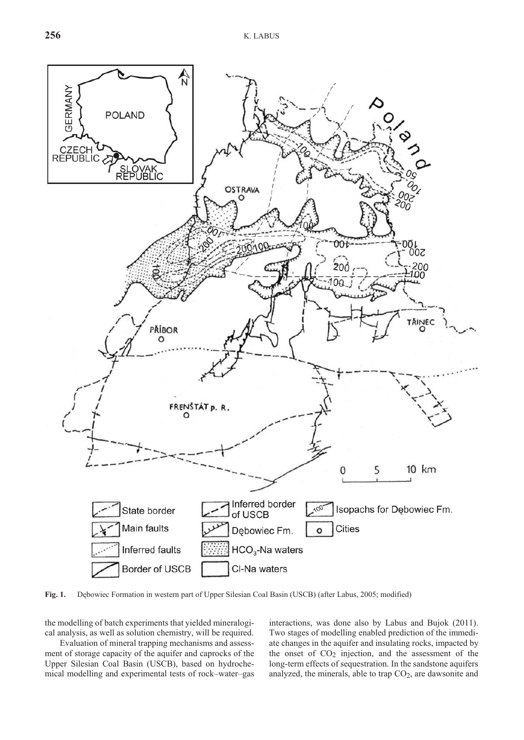

**Fig. 1.** Debowiec Formation in western part of Upper Silesian Coal Basin (USCB) (after Labus, 2005; modified)

the modelling of batch experiments that yielded mineralogical analysis, as well as solution chemistry, will be required.

Evaluation of mineral trapping mechanisms and assessment of storage capacity of the aquifer and caprocks of the Upper Silesian Coal Basin (USCB), based on hydrochemical modelling and experimental tests of rock–water–gas interactions, was done also by Labus and Bujok (2011). Two stages of modelling enabled prediction of the immediate changes in the aquifer and insulating rocks, impacted by the onset of  $CO<sub>2</sub>$  injection, and the assessment of the long-term effects of sequestration. In the sandstone aquifers analyzed, the minerals, able to trap  $CO<sub>2</sub>$ , are dawsonite and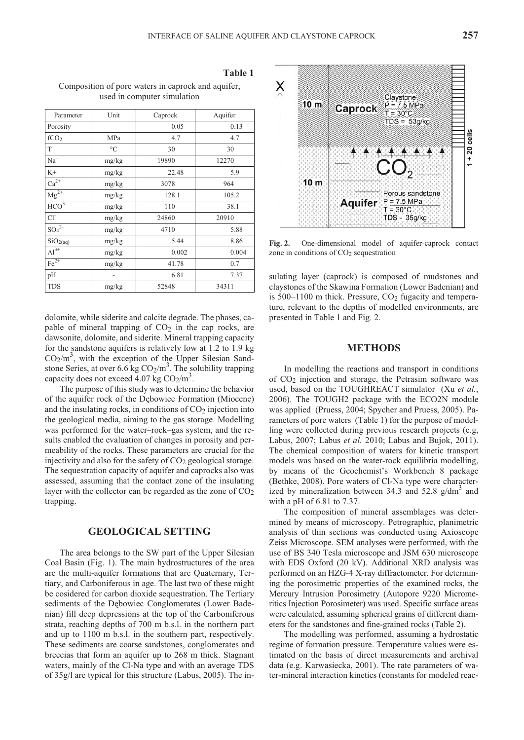**Ta ble 1**

dolomite, while siderite and calcite degrade. The phases, ca- $Al^{3+}$  mg/kg 0.002 0.004  $Fe^{2+}$  mg/kg 41.78 0.7 pH - 6.81 7.37 TDS mg/kg 52848 34311

 $2^2$  mg/kg 4710 5.88  $\text{SiO}_{2(aq)}$  mg/kg 5.44 8.86

 $SO<sub>4</sub><sup>2</sup>$ 

Composition of pore waters in caprock and aquifer, used in computer simulation

Parameter Unit Caprock Aquifer Porosity 0.05 0.13  $fCO<sub>2</sub>$  MPa 4.7 4.7 4.7 T  $\degree$ C 30 30 30 Na<sup>+</sup> mg/kg 19890 12270 K+  $mg/kg$  22.48 5.9  $Ca^{2+}$  mg/kg 3078 964  $\text{Mg}^{2+}$  mg/kg 128.1 105.2  $HCO^{3-}$  mg/kg 110 38.1 Cl<sup>-</sup> mg/kg 24860 20910

pable of mineral trapping of  $CO<sub>2</sub>$  in the cap rocks, are dawsonite, dolomite, and siderite. Mineral trapping capacity for the sand stone aquifers is relatively low at  $1.2$  to  $1.9$  kg  $CO<sub>2</sub>/m<sup>3</sup>$ , with the exception of the Upper Silesian Sandstone Series, at over 6.6 kg  $CO_2/m^3$ . The solubility trapping capacity does not exceed  $4.07 \text{ kg CO}_2/\text{m}^3$ .

The purpose of this study was to determine the behavior of the aquifer rock of the Debowiec Formation (Miocene) and the insulating rocks, in conditions of  $CO<sub>2</sub>$  injection into the geological media, aiming to the gas storage. Modelling was performed for the water-rock-gas system, and the results enabled the evaluation of changes in porosity and permeability of the rocks. These parameters are crucial for the injectivity and also for the safety of  $CO<sub>2</sub>$  geological storage. The sequestration capacity of aquifer and caprocks also was assessed, assuming that the contact zone of the insulating layer with the collector can be regarded as the zone of  $CO<sub>2</sub>$ trapping.

### **GEOLOGICAL SETTING**

The area belongs to the SW part of the Upper Silesian Coal Basin (Fig. 1). The main hydrostructures of the area are the multi-aquifer formations that are Quaternary, Tertiary, and Carboniferous in age. The last two of these might be cosidered for carbon dioxide sequestration. The Tertiary sediments of the Debowiec Conglomerates (Lower Badenian) fill deep depressions at the top of the Carboniferous strata, reaching depths of 700 m b.s.l. in the northern part and up to 1100 m b.s.l. in the southern part, respectively. These sediments are coarse sandstones, conglomerates and breccias that form an aquifer up to 268 m thick. Stagnant waters, mainly of the Cl-Na type and with an average TDS of 35g/l are typical for this structure (Labus, 2005). The in-

Fig. 2. One-dimensional model of aquifer-caprock contact zone in conditions of  $CO<sub>2</sub>$  sequestration

sulating layer (caprock) is composed of mudstones and claystones of the Skawina Formation (Lower Badenian) and is  $500-1100$  m thick. Pressure,  $CO<sub>2</sub>$  fugacity and temperature, relevant to the depths of modelled environments, are presented in Table 1 and Fig. 2.

### **METHODS**

In modelling the reactions and transport in conditions of  $CO<sub>2</sub>$  injection and storage, the Petrasim software was used, based on the TOUGHREACT simulator (Xu et al., 2006). The TOUGH2 package with the ECO2N module was applied (Pruess, 2004; Spycher and Pruess, 2005). Parameters of pore waters (Table 1) for the purpose of modelling were collected during previous research projects (e.g, Labus, 2007; Labus *et al.* 2010; Labus and Bujok, 2011). The chemical composition of waters for kinetic transport models was based on the water-rock equilibria modelling, by means of the Geochemist's Workbench 8 package (Bethke, 2008). Pore waters of Cl-Na type were characterized by mineralization between 34.3 and 52.8  $g/dm<sup>3</sup>$  and with a pH of 6.81 to 7.37.

The composition of mineral assemblages was determined by means of microscopy. Petrographic, planimetric analysis of thin sections was conducted using Axioscope Zeiss Microscope. SEM analyses were performed, with the use of BS 340 Tesla microscope and JSM 630 microscope with EDS Oxford (20 kV). Additional XRD analysis was performed on an HZG-4 X-ray diffractometer. For determining the porosimetric properties of the examined rocks, the Mercury Intrusion Porosimetry (Autopore 9220 Micromeritics Injection Porosimeter) was used. Specific surface areas were calculated, assuming spherical grains of different diameters for the sandstones and fine-grained rocks (Table 2).

The modelling was performed, assuming a hydrostatic regime of formation pressure. Temperature values were estimated on the basis of direct measurements and archival data (e.g. Karwasiecka, 2001). The rate parameters of water-mineral interaction kinetics (constants for modeled reac-

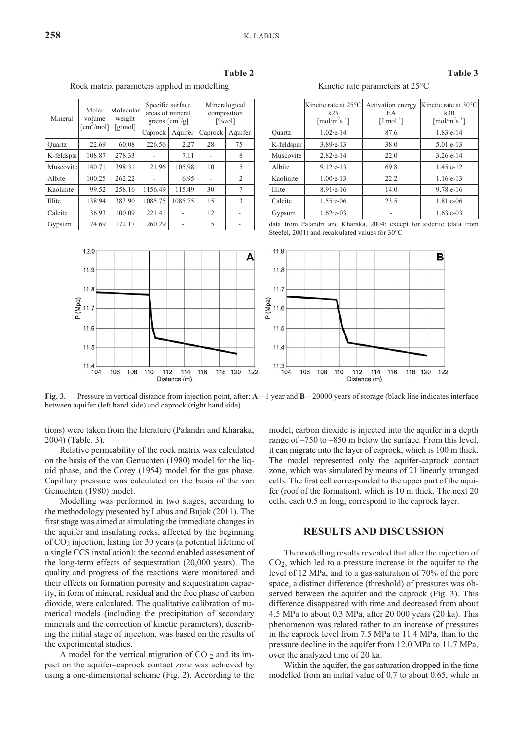| Mineral    | Molar<br>volume<br>$\lceil$ cm <sup>3</sup> /mol] | Molecular<br>weight<br>$\lceil g/mol \rceil$ | Specific surface<br>areas of mineral<br>grains $\lceil$ cm <sup>2</sup> /g] |         | Mineralogical<br>composition<br>$[\%vol]$ |         |
|------------|---------------------------------------------------|----------------------------------------------|-----------------------------------------------------------------------------|---------|-------------------------------------------|---------|
|            |                                                   |                                              | Caprock                                                                     | Aquifer | Caprock                                   | Aquifer |
| Ouartz     | 22.69                                             | 60.08                                        | 226.56                                                                      | 2.27    | 28                                        | 75      |
| K-feldspar | 108.87                                            | 278.33                                       |                                                                             | 7.11    |                                           |         |
| Muscovite  | 140.71                                            | 398.31                                       | 21.96                                                                       | 105.98  | 10                                        |         |
|            |                                                   |                                              |                                                                             |         |                                           |         |

Albite | 100.25 | 262.22 | - | 6.95 | - | 2 Kaolinite 99.52 258.16 1156.49 115.49 30 7 Illite | 138.94 | 383.90 | 1085.75 | 1085.75 | 15 | 3 Calcite | 36.93 | 100.09 | 221.41 | - | 12 | -Gypsum |  $74.69$  |  $172.17$  |  $260.29$  | - | 5 | -

**Ta ble 2**

Rock matrix parameters applied in modelling

| I | J |  |
|---|---|--|

Kinetic rate parameters at  $25^{\circ}$ C

|               | Kinetic rate at 25°C<br>k25<br>$\lceil \text{mol/m}^2 \text{s}^{-1} \rceil$ | Activation energy<br>EA<br>$[J \text{ mol}^{-1}]$ | Kinetic rate at 30°C<br>k30<br>$\lceil \text{mol/m}^2 \text{s}^{-1} \rceil$ |
|---------------|-----------------------------------------------------------------------------|---------------------------------------------------|-----------------------------------------------------------------------------|
| Ouartz        | $1.02 - e - 14$                                                             | 87.6                                              | $1.83 - e - 14$                                                             |
| K-feldspar    | $3.89 - 13$                                                                 | 38.0                                              | $5.01 - e - 13$                                                             |
| Muscovite     | $2.82 - e - 14$                                                             | 22.0                                              | $3.26 \text{·}e-14$                                                         |
| Albite        | $9.12 - e - 13$                                                             | 69.8                                              | $1.45 e-12$                                                                 |
| Kaolinite     | $1.00 - e - 13$                                                             | 22.2                                              | $1.16 - 13$                                                                 |
| <b>Illite</b> | $8.91 - e - 16$                                                             | 14.0                                              | $9.78 - 16$                                                                 |
| Calcite       | $1.55$ e-06                                                                 | 23.5                                              | $1.81 - e - 06$                                                             |
| Gypsum        | $1.62 - e - 03$                                                             |                                                   | $1.63 \text{ -e} - 03$                                                      |

data from Palandri and Kharaka, 2004; except for siderite (data from Steefel, 2001) and recalculated values for  $30^{\circ}$ C



**Fig. 3.** Pressure in vertical distance from injection point, after:  $A - 1$  year and  $B - 20000$  years of storage (black line indicates interface between aquifer (left hand side) and caprock (right hand side)

tions) were taken from the literature (Palandri and Kharaka, 2004) (Table. 3).

Relative permeability of the rock matrix was calculated on the basis of the van Genuchten (1980) model for the liquid phase, and the Corey (1954) model for the gas phase. Capillary pressure was calculated on the basis of the van Genuchten (1980) model.

Modelling was performed in two stages, according to the methodology presented by Labus and Bujok (2011). The first stage was aimed at simulating the immediate changes in the aquifer and insulating rocks, affected by the beginning of  $CO<sub>2</sub>$  injection, lasting for 30 years (a potential lifetime of a single CCS installation); the second enabled assessment of the long-term effects of sequestration  $(20,000 \text{ years})$ . The quality and progress of the reactions were monitored and their effects on formation porosity and sequestration capacity, in form of mineral, residual and the free phase of carbon dioxide, were calculated. The qualitative calibration of numerical models (including the precipitation of secondary minerals and the correction of kinetic parameters), describing the initial stage of injection, was based on the results of the experimental studies.

A model for the vertical migration of  $CO_2$  and its impact on the aquifer–caprock contact zone was achieved by using a one-dimensional scheme (Fig. 2). According to the

model, carbon dioxide is injected into the aquifer in a depth range of  $-750$  to  $-850$  m below the surface. From this level, it can migrate into the layer of caprock, which is 100 m thick. The model represented only the aquifer-caprock contact zone, which was simulated by means of 21 linearly arranged cells. The first cell corresponded to the upper part of the aquifer (roof of the formation), which is  $10 \text{ m}$  thick. The next  $20 \text{ m}$ cells, each  $0.5$  m long, correspond to the caprock layer.

### **RESULTS AND DISCUSSION**

The modelling results revealed that after the injection of  $CO<sub>2</sub>$ , which led to a pressure increase in the aquifer to the level of 12 MPa, and to a gas-saturation of 70% of the pore space, a distinct difference (threshold) of pressures was observed between the aquifer and the caprock (Fig. 3). This difference disappeared with time and decreased from about 4.5 MPa to about 0.3 MPa, after 20 000 years (20 ka). This phenomenon was related rather to an increase of pressures in the caprock level from 7.5 MPa to 11.4 MPa, than to the pressure decline in the aquifer from 12.0 MPa to 11.7 MPa, over the analyzed time of 20 ka.

Within the aquifer, the gas saturation dropped in the time modelled from an initial value of 0.7 to about 0.65, while in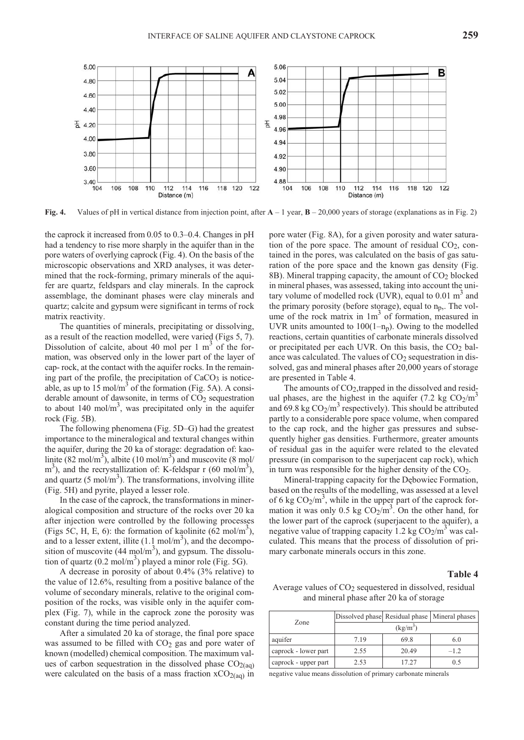

**Fig. 4.** Values of pH in vertical distance from injection point, after  $A - 1$  year,  $B - 20,000$  years of storage (explanations as in Fig. 2)

the caprock it increased from  $0.05$  to  $0.3-0.4$ . Changes in pH had a tendency to rise more sharply in the aquifer than in the pore waters of overlying caprock (Fig. 4). On the basis of the mi croscopic observations and XRD analyses, it was determined that the rock-forming, primary minerals of the aquifer are quartz, feldspars and clay minerals. In the caprock assemblage, the dominant phases were clay minerals and quartz; calcite and gypsum were significant in terms of rock matrix reactivity.

The quantities of minerals, precipitating or dissolving, as a result of the reaction modelled, were varied (Figs 5, 7). Dissolution of calcite, about 40 mol per 1  $m<sup>3</sup>$  of the formation, was observed only in the lower part of the layer of cap- rock, at the contact with the aquifer rocks. In the remaining part of the profile, the precipitation of CaCO<sub>3</sub> is noticeable, as up to  $15 \text{ mol/m}^3$  of the formation (Fig. 5A). A considerable amount of dawsonite, in terms of  $CO<sub>2</sub>$  sequestration to about 140 mol/m<sup>3</sup>, was precipitated only in the aquifer rock (Fig. 5B).

The following phenomena (Fig.  $5D-G$ ) had the greatest importance to the mineralogical and textural changes within the aquifer, during the 20 ka of storage: degradation of: kaolinite (82 mol/m<sup>3</sup>), albite (10 mol/m<sup>3</sup>) and muscovite (8 mol/  $\text{m}^3$ ), and the recrystallization of: K-feldspar r (60 mol/m<sup>3</sup>), and quartz (5 mol/m<sup>3</sup>). The transformations, involving illite (Fig. 5H) and pyrite, played a lesser role.

In the case of the caprock, the transformations in mineralogical composition and structure of the rocks over 20 ka after injection were controlled by the following processes (Figs 5C, H, E, 6): the formation of kaolinite  $(62 \text{ mol/m}^3)$ , and to a lesser extent, illite  $(1.1 \text{ mol/m}^3)$ , and the decomposition of muscovite  $(44 \text{ mol/m}^3)$ , and gypsum. The dissolution of quartz (0.2 mol/m<sup>3</sup>) played a minor role (Fig. 5G).

A decrease in porosity of about  $0.4\%$  (3% relative) to the value of  $12.6\%$ , resulting from a positive balance of the volume of secondary minerals, relative to the original composition of the rocks, was visible only in the aquifer complex (Fig. 7), while in the caprock zone the porosity was constant during the time period analyzed.

After a simulated 20 ka of storage, the final pore space was assumed to be filled with  $CO<sub>2</sub>$  gas and pore water of known (modelled) chemical composition. The maximum values of carbon sequestration in the dissolved phase  $CO<sub>2(aq)</sub>$ were calculated on the basis of a mass fraction  $xCO_{2(aq)}$  in

pore water (Fig. 8A), for a given porosity and water saturation of the pore space. The amount of residual  $CO<sub>2</sub>$ , contained in the pores, was calculated on the basis of gas saturation of the pore space and the known gas density (Fig. 8B). Mineral trapping capacity, the amount of  $CO<sub>2</sub>$  blocked in mineral phases, was assessed, taking into account the unitary volume of modelled rock (UVR), equal to 0.01  $m<sup>3</sup>$  and the primary porosity (before storage), equal to  $n_p$ . The volume of the rock matrix in  $1m<sup>3</sup>$  of formation, measured in UVR units amounted to  $100(1-n<sub>p</sub>)$ . Owing to the modelled re actions, certain quantities of carbonate minerals dissolved or precipitated per each UVR. On this basis, the  $CO<sub>2</sub>$  balance was calculated. The values of  $CO<sub>2</sub>$  sequestration in dissolved, gas and mineral phases after 20,000 years of storage are presented in Table 4.

The amounts of  $CO<sub>2</sub>$ , trapped in the dissolved and residual phases, are the highest in the aquifer (7.2 kg  $CO_2/m^3$ and  $69.8 \text{ kg CO}_2/\text{m}^3$  respectively). This should be attributed partly to a considerable pore space volume, when compared to the cap rock, and the higher gas pressures and subsequently higher gas densities. Furthermore, greater amounts of residual gas in the aquifer were related to the elevated pressure (in comparison to the superjacent cap rock), which in turn was responsible for the higher density of the  $CO<sub>2</sub>$ .

Mineral-trapping capacity for the Debowiec Formation, based on the results of the modelling, was assessed at a level of 6 kg  $CO_2/m^3$ , while in the upper part of the caprock formation it was only 0.5 kg  $CO_2/m^3$ . On the other hand, for the lower part of the caprock (superjacent to the aquifer), a negative value of trapping capacity 1.2 kg  $CO_2/m^3$  was calculated. This means that the process of dissolution of primary carbonate minerals occurs in this zone.

#### **Ta ble 4**

Average values of  $CO<sub>2</sub>$  sequestered in dissolved, residual and mineral phase after 20 ka of storage

| Zone                 | Dissolved phase Residual phase   Mineral phases |       |       |  |
|----------------------|-------------------------------------------------|-------|-------|--|
|                      | $\left(\frac{kg}{m^3}\right)$                   |       |       |  |
| aquifer              | 7.19                                            | 69.8  | 6.0   |  |
| caprock - lower part | 2.55                                            | 20.49 | $-12$ |  |
| caprock - upper part | 2.53                                            | 17 27 | 0.5   |  |

negative value means dissolution of primary carbonate minerals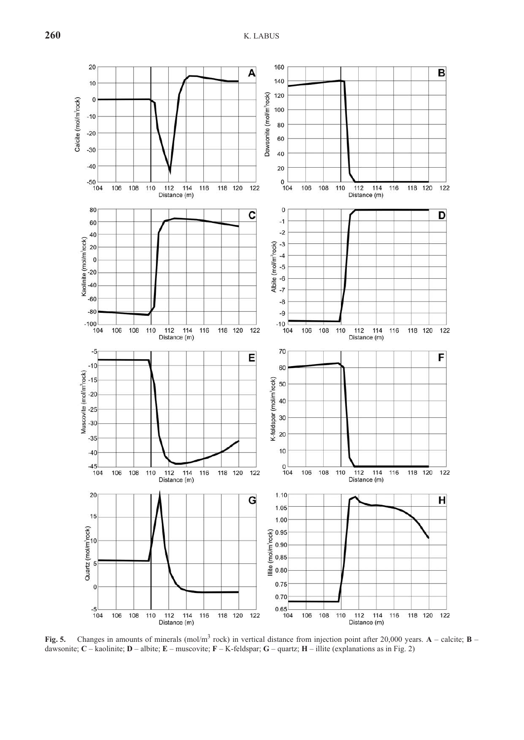

**Fig. 5.** Changes in amounts of minerals (mol/m<sup>3</sup> rock) in vertical distance from injection point after 20,000 years.  $\bf{A}$  – calcite;  $\bf{B}$  – dawsonite;  $C$  – kaolinite;  $D$  – albite;  $E$  – muscovite;  $F$  – K-feldspar;  $G$  – quartz;  $H$  – illite (explanations as in Fig. 2)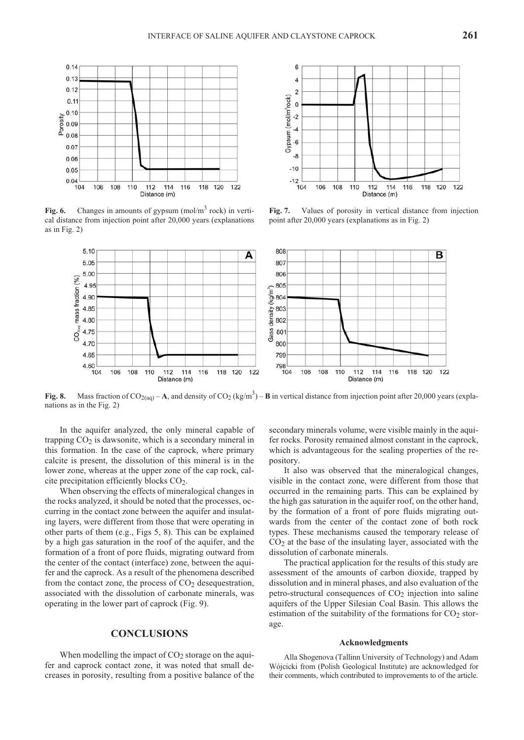

Fig. 6. Changes in amounts of gypsum (mol/m<sup>3</sup> rock) in vertical distance from injection point after 20,000 years (explanations as in Fig. 2)



6  $\overline{4}$  $\overline{\mathbf{c}}$ Gypsum (mol/m<sup>3</sup>rock)  $\overline{0}$  $-2$  $-4$  $-6$  $-\xi$  $-10$  $-12$ 104 106 108 110 112 114 116 118 120 122 Distance (m)

Fig. 7. Values of porosity in vertical distance from injection point after  $20,000$  years (explanations as in Fig. 2)

**Fig. 8.** Mass fraction of CO<sub>2(aq)</sub> – **A**, and density of CO<sub>2</sub> (kg/m<sup>3</sup>) – **B** in vertical distance from injection point after 20,000 years (explanations as in the Fig. 2)

In the aquifer analyzed, the only mineral capable of trapping  $CO<sub>2</sub>$  is dawsonite, which is a secondary mineral in this formation. In the case of the caprock, where primary calcite is present, the dissolution of this mineral is in the lower zone, whereas at the upper zone of the cap rock, calcite precipitation efficiently blocks  $CO<sub>2</sub>$ .

When observing the effects of mineralogical changes in the rocks analyzed, it should be noted that the processes, occurring in the contact zone between the aquifer and insulating layers, were different from those that were operating in other parts of them  $(e.g., Figs 5, 8)$ . This can be explained by a high gas saturation in the roof of the aquifer, and the formation of a front of pore fluids, migrating outward from the center of the contact (interface) zone, between the aquifer and the caprock. As a result of the phenomena described from the contact zone, the process of  $CO<sub>2</sub>$  desequestration, associated with the dissolution of carbonate minerals, was operating in the lower part of caprock (Fig. 9).

## **CON CLU SIONS**

When modelling the impact of  $CO<sub>2</sub>$  storage on the aquifer and caprock contact zone, it was noted that small decreases in porosity, resulting from a positive balance of the secondary minerals volume, were visible mainly in the aquifer rocks. Porosity remained almost constant in the caprock, which is advantageous for the sealing properties of the repository.

It also was observed that the mineralogical changes, visible in the contact zone, were different from those that occurred in the remaining parts. This can be explained by the high gas saturation in the aquifer roof, on the other hand, by the formation of a front of pore fluids migrating outwards from the center of the contact zone of both rock types. These mechanisms caused the temporary release of  $CO<sub>2</sub>$  at the base of the insulating layer, associated with the dissolution of carbonate minerals.

The practical application for the results of this study are assessment of the amounts of carbon dioxide, trapped by dissolution and in mineral phases, and also evaluation of the petro-structural consequences of  $CO<sub>2</sub>$  injection into saline aquifers of the Upper Silesian Coal Basin. This allows the estimation of the suitability of the formations for  $CO<sub>2</sub>$  storage.

#### **Ac knowl edg ments**

Alla Shogenova (Tallinn University of Technology) and Adam Wójcicki from (Polish Geological Institute) are acknowledged for their comments, which contributed to improvements to of the article.